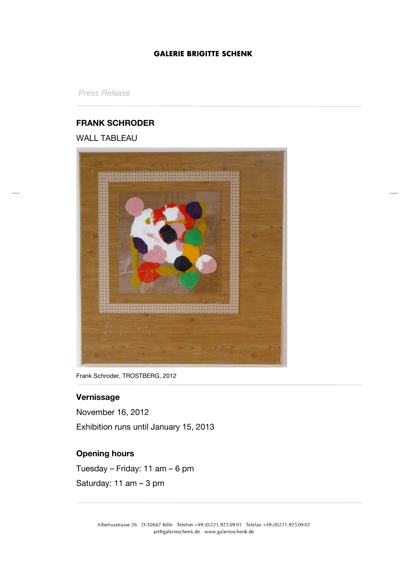*Press Release*

## **FRANK SCHRODER**

WALL TABLEAU



Frank Schroder, TROSTBERG, 2012

# **Vernissage**

November 16, 2012 Exhibition runs until January 15, 2013

# **Opening hours**

Tuesday – Friday: 11 am – 6 pm Saturday: 11 am – 3 pm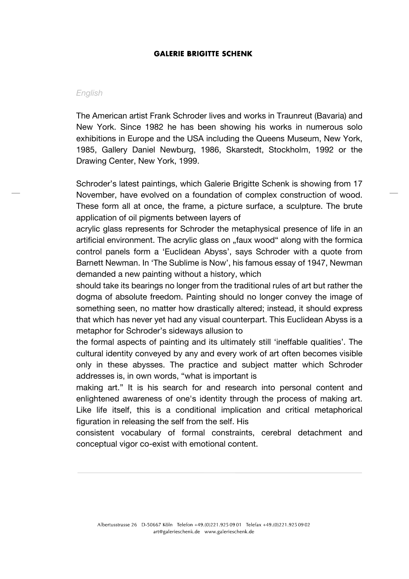#### *English*

The American artist Frank Schroder lives and works in Traunreut (Bavaria) and New York. Since 1982 he has been showing his works in numerous solo exhibitions in Europe and the USA including the Queens Museum, New York, 1985, Gallery Daniel Newburg, 1986, Skarstedt, Stockholm, 1992 or the Drawing Center, New York, 1999.

Schroder's latest paintings, which Galerie Brigitte Schenk is showing from 17 November, have evolved on a foundation of complex construction of wood. These form all at once, the frame, a picture surface, a sculpture. The brute application of oil pigments between layers of

acrylic glass represents for Schroder the metaphysical presence of life in an artificial environment. The acrylic glass on "faux wood" along with the formica control panels form a 'Euclidean Abyss', says Schroder with a quote from Barnett Newman. In 'The Sublime is Now', his famous essay of 1947, Newman demanded a new painting without a history, which

should take its bearings no longer from the traditional rules of art but rather the dogma of absolute freedom. Painting should no longer convey the image of something seen, no matter how drastically altered; instead, it should express that which has never yet had any visual counterpart. This Euclidean Abyss is a metaphor for Schroder's sideways allusion to

the formal aspects of painting and its ultimately still 'ineffable qualities'. The cultural identity conveyed by any and every work of art often becomes visible only in these abysses. The practice and subject matter which Schroder addresses is, in own words, "what is important is

making art." It is his search for and research into personal content and enlightened awareness of one's identity through the process of making art. Like life itself, this is a conditional implication and critical metaphorical figuration in releasing the self from the self. His

consistent vocabulary of formal constraints, cerebral detachment and conceptual vigor co-exist with emotional content.